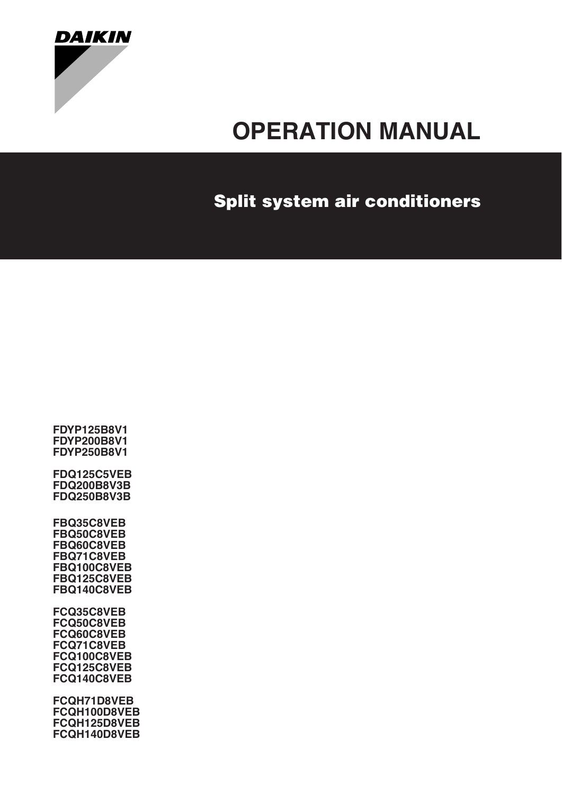

# **[OPERATION MANUAL](#page-2-0)**

**[Split system air conditioners](#page-2-1)**

**FDYP125B8V1 FDYP200B8V1 FDYP250B8V1 FDQ125C5VEB FDQ200B8V3B FDQ250B8V3B FBQ35C8VEB FBQ50C8VEB FBQ60C8VEB FBQ71C8VEB FBQ100C8VEB FBQ125C8VEB FBQ140C8VEB FCQ35C8VEB FCQ50C8VEB FCQ60C8VEB FCQ71C8VEB FCQ100C8VEB FCQ125C8VEB FCQ140C8VEB FCQH71D8VEB FCQH100D8VEB FCQH125D8VEB**

**FCQH140D8VEB**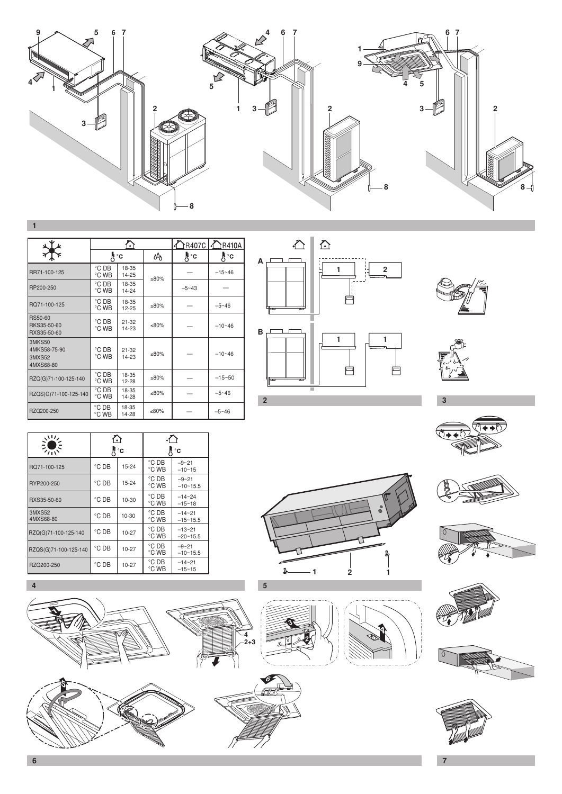<span id="page-1-2"></span>

<span id="page-1-1"></span>

| *IX                                                  |                                          | ⚠                      |             | $\mathcal{L}$<br><b>FR407C</b> | <b>CR410A</b> |  |
|------------------------------------------------------|------------------------------------------|------------------------|-------------|--------------------------------|---------------|--|
|                                                      |                                          | ∦°с                    | ss          | ∦∘c                            | ‼°c           |  |
| RR71-100-125                                         | °C DB<br>°C WB                           | 18-35<br>14-25         | ≤80%        |                                | $-15 - 46$    |  |
| RP200-250                                            | °C DB<br>°C WB                           | 18-35<br>14-24         |             | $-5 - 43$                      |               |  |
| RQ71-100-125                                         | °C DB<br>°C WB                           | 18-35<br>$12 - 25$     | $\leq 80\%$ |                                | $-5 - 46$     |  |
| RS50-60<br>RKS35-50-60<br>RXS35-50-60                | °C DB<br>$21 - 32$<br>°C WB<br>$14 - 23$ |                        | $\leq 80\%$ |                                | $-10 - 46$    |  |
| <b>3MKS50</b><br>4MKS58-75-90<br>3MXS52<br>4MXS68-80 | °C DB<br>°C WB                           | $21 - 32$<br>$14 - 23$ | ≤80%        |                                | $-10 - 46$    |  |
| RZQ(G)71-100-125-140                                 | °C DB<br>°C WB                           | 18-35<br>$12 - 28$     | $\leq 80\%$ |                                | $-15 - 50$    |  |
| RZQS(G)71-100-125-140                                | °C DB<br>°C WB                           | 18-35<br>14-28         | ≤80%        |                                | $-5 - 46$     |  |
| RZQ200-250                                           | °C DB<br>°C WB                           | 18-35<br>14-28         | ≤80%        |                                | $-5 - 46$     |  |



 $\Box$ 

 $\begin{array}{c|c} \bullet & \bullet & \bullet \\ \bullet & \bullet & \bullet \end{array}$ 

 $\hat{\mathbf{C}}$ 

<span id="page-1-0"></span>**A**

<span id="page-1-4"></span>





户



<span id="page-1-5"></span>













<span id="page-1-6"></span>

**4**

**2**

**3**

**6**



<span id="page-1-3"></span>

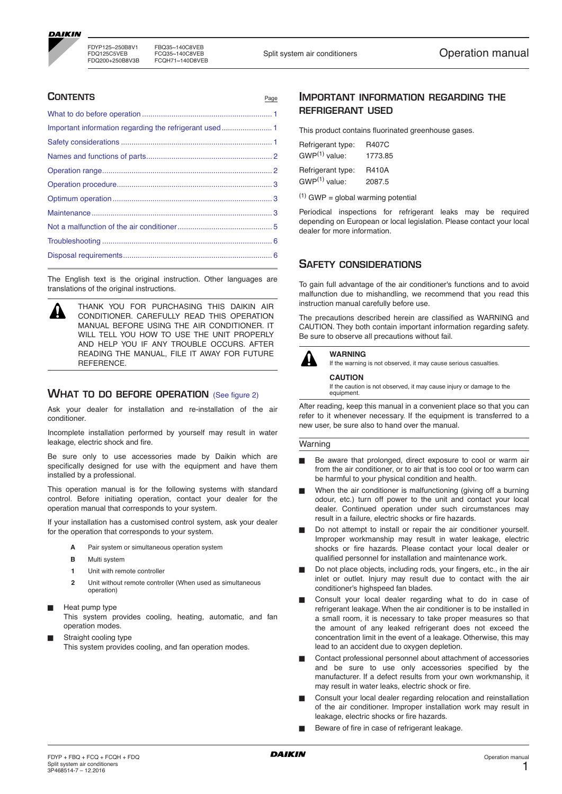FDYP125~250B8V1 FBQ35~140C8VEB FDQ125C5VEB FCQ35~140C8VEB<br>FDQ200+250B8V3B FCQH71~140D8VE FCQH71~140D8VEB

| <b>CONTENTS</b> | Page |
|-----------------|------|
|                 |      |
|                 |      |
|                 |      |
|                 |      |
|                 |      |
|                 |      |
|                 |      |
|                 |      |
|                 |      |
|                 |      |
|                 |      |

The English text is the original instruction. Other languages are translations of the original instructions.

THANK YOU FOR PURCHASING THIS DAIKIN AIR CONDITIONER. CAREFULLY READ THIS OPERATION MANUAL BEFORE USING THE AIR CONDITIONER. IT WILL TELL YOU HOW TO USE THE UNIT PROPERLY AND HELP YOU IF ANY TROUBLE OCCURS. AFTER READING THE MANUAL, FILE IT AWAY FOR FUTURE REFERENCE.

#### <span id="page-2-2"></span>**WHAT TO DO BEFORE OPERATION** [\(See figure 2\)](#page-1-0)

Ask your dealer for installation and re-installation of the air conditioner.

Incomplete installation performed by yourself may result in water leakage, electric shock and fire.

Be sure only to use accessories made by Daikin which are specifically designed for use with the equipment and have them installed by a professional.

This operation manual is for the following systems with standard control. Before initiating operation, contact your dealer for the operation manual that corresponds to your system.

If your installation has a customised control system, ask your dealer for the operation that corresponds to your system.

- **A** Pair system or simultaneous operation system
- **B** Multi system
- **1** Unit with remote controller
- **2** Unit without remote controller (When used as simultaneous operation)
- Heat pump type This system provides cooling, heating, automatic, and fan operation modes.
- Straight cooling type This system provides cooling, and fan operation modes.

# <span id="page-2-4"></span><span id="page-2-1"></span><span id="page-2-0"></span>**IMPORTANT INFORMATION REGARDING THE REFRIGERANT USED**

This product contains fluorinated greenhouse gases.

| Refrigerant type:<br>$GWP(1)$ value: | <b>R407C</b><br>1773.85 |
|--------------------------------------|-------------------------|
| Refrigerant type:                    | <b>R410A</b>            |
| $GWP(1)$ value:                      | 2087.5                  |

 $(1)$  GWP = global warming potential

Periodical inspections for refrigerant leaks may be required depending on European or local legislation. Please contact your local dealer for more information.

# <span id="page-2-3"></span>**SAFETY CONSIDERATIONS**

To gain full advantage of the air conditioner's functions and to avoid malfunction due to mishandling, we recommend that you read this instruction manual carefully before use.

The precautions described herein are classified as WARNING and CAUTION. They both contain important information regarding safety. Be sure to observe all precautions without fail.



# **WARNING**

If the warning is not observed, it may cause serious casualties.

**CAUTION**

If the caution is not observed, it may cause injury or damage to the equipment.

After reading, keep this manual in a convenient place so that you can refer to it whenever necessary. If the equipment is transferred to a new user, be sure also to hand over the manual.

#### Warning

- Be aware that prolonged, direct exposure to cool or warm air from the air conditioner, or to air that is too cool or too warm can be harmful to your physical condition and health.
- When the air conditioner is malfunctioning (giving off a burning odour, etc.) turn off power to the unit and contact your local dealer. Continued operation under such circumstances may result in a failure, electric shocks or fire hazards.
- Do not attempt to install or repair the air conditioner yourself. Improper workmanship may result in water leakage, electric shocks or fire hazards. Please contact your local dealer or qualified personnel for installation and maintenance work.
- Do not place objects, including rods, your fingers, etc., in the air inlet or outlet. Injury may result due to contact with the air conditioner's highspeed fan blades.
- Consult your local dealer regarding what to do in case of refrigerant leakage. When the air conditioner is to be installed in a small room, it is necessary to take proper measures so that the amount of any leaked refrigerant does not exceed the concentration limit in the event of a leakage. Otherwise, this may lead to an accident due to oxygen depletion.
- Contact professional personnel about attachment of accessories and be sure to use only accessories specified by the manufacturer. If a defect results from your own workmanship, it may result in water leaks, electric shock or fire.
- Consult your local dealer regarding relocation and reinstallation of the air conditioner. Improper installation work may result in leakage, electric shocks or fire hazards.
- Beware of fire in case of refrigerant leakage.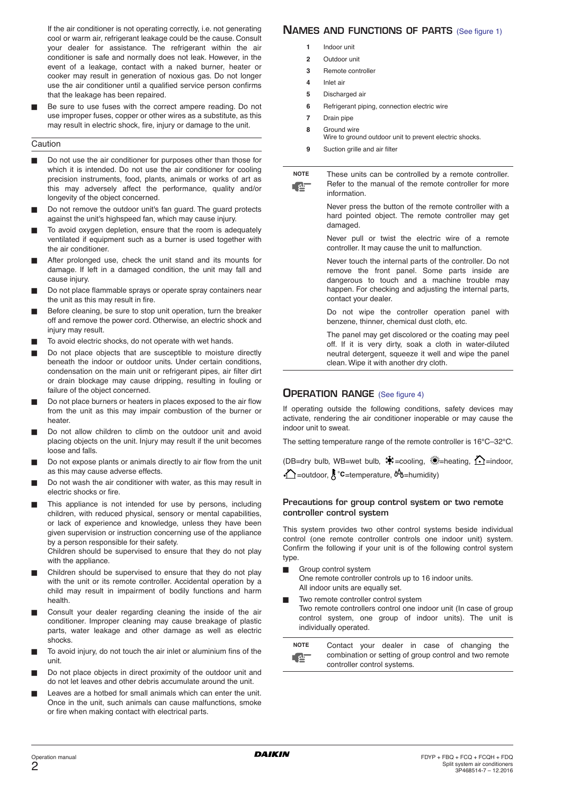If the air conditioner is not operating correctly, i.e. not generating cool or warm air, refrigerant leakage could be the cause. Consult your dealer for assistance. The refrigerant within the air conditioner is safe and normally does not leak. However, in the event of a leakage, contact with a naked burner, heater or cooker may result in generation of noxious gas. Do not longer use the air conditioner until a qualified service person confirms that the leakage has been repaired.

Be sure to use fuses with the correct ampere reading. Do not use improper fuses, copper or other wires as a substitute, as this may result in electric shock, fire, injury or damage to the unit.

#### Caution

- Do not use the air conditioner for purposes other than those for which it is intended. Do not use the air conditioner for cooling precision instruments, food, plants, animals or works of art as this may adversely affect the performance, quality and/or longevity of the object concerned.
- Do not remove the outdoor unit's fan guard. The guard protects against the unit's highspeed fan, which may cause injury.
- To avoid oxygen depletion, ensure that the room is adequately ventilated if equipment such as a burner is used together with the air conditioner.
- After prolonged use, check the unit stand and its mounts for damage. If left in a damaged condition, the unit may fall and cause injury.
- Do not place flammable sprays or operate spray containers near the unit as this may result in fire.
- Before cleaning, be sure to stop unit operation, turn the breaker off and remove the power cord. Otherwise, an electric shock and injury may result.
- To avoid electric shocks, do not operate with wet hands.
- Do not place objects that are susceptible to moisture directly beneath the indoor or outdoor units. Under certain conditions, condensation on the main unit or refrigerant pipes, air filter dirt or drain blockage may cause dripping, resulting in fouling or failure of the object concerned.
- Do not place burners or heaters in places exposed to the air flow from the unit as this may impair combustion of the burner or heater.
- Do not allow children to climb on the outdoor unit and avoid placing objects on the unit. Injury may result if the unit becomes loose and falls.
- Do not expose plants or animals directly to air flow from the unit as this may cause adverse effects.
- Do not wash the air conditioner with water, as this may result in electric shocks or fire.
- This appliance is not intended for use by persons, including children, with reduced physical, sensory or mental capabilities, or lack of experience and knowledge, unless they have been given supervision or instruction concerning use of the appliance by a person responsible for their safety. Children should be supervised to ensure that they do not play

with the appliance.

- Children should be supervised to ensure that they do not play with the unit or its remote controller. Accidental operation by a child may result in impairment of bodily functions and harm health.
- Consult your dealer regarding cleaning the inside of the air conditioner. Improper cleaning may cause breakage of plastic parts, water leakage and other damage as well as electric shocks.
- To avoid injury, do not touch the air inlet or aluminium fins of the unit.
- Do not place objects in direct proximity of the outdoor unit and do not let leaves and other debris accumulate around the unit.
- Leaves are a hotbed for small animals which can enter the unit. Once in the unit, such animals can cause malfunctions, smoke or fire when making contact with electrical parts.

# <span id="page-3-0"></span>**NAMES AND FUNCTIONS OF PARTS** [\(See figure 1\)](#page-1-2)

- **1** Indoor unit
- **2** Outdoor unit
- **3** Remote controller
- **4** Inlet air
- **5** Discharged air
- **6** Refrigerant piping, connection electric wire
- **7** Drain pipe
- **8** Ground wire
- Wire to ground outdoor unit to prevent electric shocks.
- **9** Suction grille and air filter

**NOTE** These units can be controlled by a remote controller. Refer to the manual of the remote controller for more **C** information.

> Never press the button of the remote controller with a hard pointed object. The remote controller may get damaged.

> Never pull or twist the electric wire of a remote controller. It may cause the unit to malfunction.

> Never touch the internal parts of the controller. Do not remove the front panel. Some parts inside are dangerous to touch and a machine trouble may happen. For checking and adjusting the internal parts, contact your dealer.

> Do not wipe the controller operation panel with benzene, thinner, chemical dust cloth, etc.

> The panel may get discolored or the coating may peel off. If it is very dirty, soak a cloth in water-diluted neutral detergent, squeeze it well and wipe the panel clean. Wipe it with another dry cloth.

# <span id="page-3-1"></span>**OPERATION RANGE** [\(See figure 4\)](#page-1-1)

If operating outside the following conditions, safety devices may activate, rendering the air conditioner inoperable or may cause the indoor unit to sweat.

The setting temperature range of the remote controller is 16°C–32°C.

(DB=dry bulb, WB=wet bulb,  $\frac{1}{2}$  =cooling,  $\frac{1}{2}$  =heating,  $\frac{1}{2}$ =indoor, =outdoor, **f** °**C**=temperature, <sup>60</sup>0=humidity)

#### **Precautions for group control system or two remote controller control system**

This system provides two other control systems beside individual control (one remote controller controls one indoor unit) system. Confirm the following if your unit is of the following control system type.

Group control system

One remote controller controls up to 16 indoor units. All indoor units are equally set.

- Two remote controller control system
- Two remote controllers control one indoor unit (In case of group control system, one group of indoor units). The unit is individually operated.

**NOTE** Contact your dealer in case of changing the **E** combination or setting of group control and two remote controller control systems.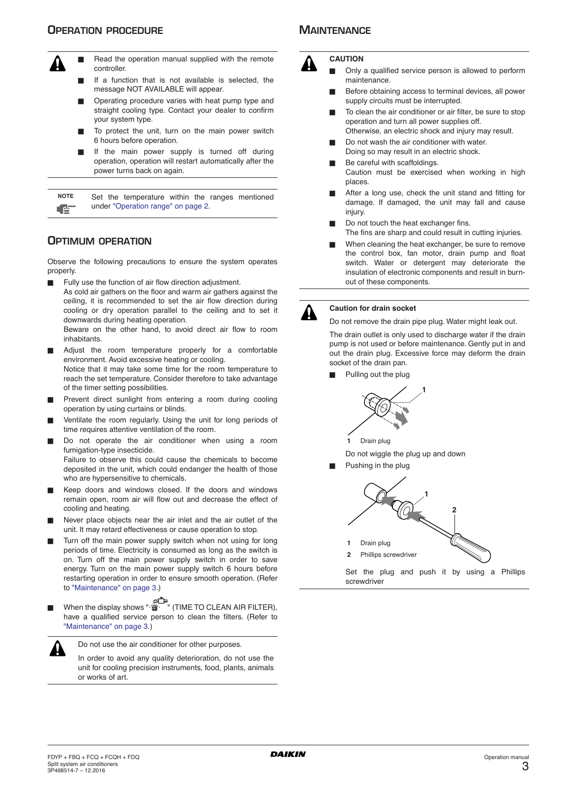# <span id="page-4-0"></span>**OPERATION PROCEDURE**



**NOTE** Set the temperature within the ranges mentioned under ["Operation range" on page 2.](#page-3-1) ┎┍╤

# <span id="page-4-1"></span>**OPTIMUM OPERATION**

Observe the following precautions to ensure the system operates properly.

Fully use the function of air flow direction adjustment.

As cold air gathers on the floor and warm air gathers against the ceiling, it is recommended to set the air flow direction during cooling or dry operation parallel to the ceiling and to set it downwards during heating operation.

Beware on the other hand, to avoid direct air flow to room inhabitants.

- Adjust the room temperature properly for a comfortable environment. Avoid excessive heating or cooling. Notice that it may take some time for the room temperature to reach the set temperature. Consider therefore to take advantage of the timer setting possibilities.
- Prevent direct sunlight from entering a room during cooling operation by using curtains or blinds.
- Ventilate the room regularly. Using the unit for long periods of time requires attentive ventilation of the room.
- Do not operate the air conditioner when using a room fumigation-type insecticide. Failure to observe this could cause the chemicals to become deposited in the unit, which could endanger the health of those

who are hypersensitive to chemicals. Keep doors and windows closed. If the doors and windows

- remain open, room air will flow out and decrease the effect of cooling and heating.
- Never place objects near the air inlet and the air outlet of the unit. It may retard effectiveness or cause operation to stop.
- Turn off the main power supply switch when not using for long periods of time. Electricity is consumed as long as the switch is on. Turn off the main power supply switch in order to save energy. Turn on the main power supply switch 6 hours before restarting operation in order to ensure smooth operation. (Refer to ["Maintenance" on page 3.](#page-4-2))
- $R_{\text{min}}$  When the display shows " $\overrightarrow{m}$ . (TIME TO CLEAN AIR FILTER), have a qualified service person to clean the filters. (Refer to ["Maintenance" on page 3.](#page-4-2))



Do not use the air conditioner for other purposes.

In order to avoid any quality deterioration, do not use the unit for cooling precision instruments, food, plants, animals or works of art.

# <span id="page-4-2"></span>**MAINTENANCE**

# **CAUTION**

- Only a qualified service person is allowed to perform maintenance.
- Before obtaining access to terminal devices, all power supply circuits must be interrupted.
- To clean the air conditioner or air filter, be sure to stop operation and turn all power supplies off. Otherwise, an electric shock and injury may result.
- Do not wash the air conditioner with water. Doing so may result in an electric shock.
- Be careful with scaffoldings. Caution must be exercised when working in high places.
- After a long use, check the unit stand and fitting for damage. If damaged, the unit may fall and cause injury.
- Do not touch the heat exchanger fins. The fins are sharp and could result in cutting injuries.
- When cleaning the heat exchanger, be sure to remove the control box, fan motor, drain pump and float switch. Water or detergent may deteriorate the insulation of electronic components and result in burnout of these components.

#### **Caution for drain socket**

Do not remove the drain pipe plug. Water might leak out.

The drain outlet is only used to discharge water if the drain pump is not used or before maintenance. Gently put in and out the drain plug. Excessive force may deform the drain socket of the drain pan.

Pulling out the plug



Do not wiggle the plug up and down

Pushing in the plug

screwdriver

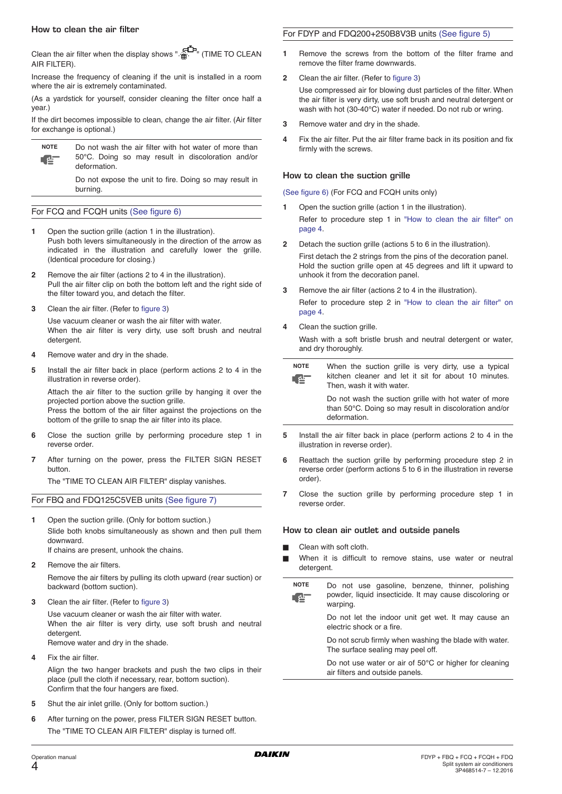#### <span id="page-5-0"></span>**How to clean the air filter**

Clean the air filter when the display shows ".  $\overline{H}^{\overline{L}_{\overline{L}^{\overline{L}}}}$ " (TIME TO CLEAN AIR FILTER).

Increase the frequency of cleaning if the unit is installed in a room where the air is extremely contaminated.

(As a yardstick for yourself, consider cleaning the filter once half a year.)

If the dirt becomes impossible to clean, change the air filter. (Air filter for exchange is optional.)



**NOTE** Do not wash the air filter with hot water of more than 50°C. Doing so may result in discoloration and/or deformation.

> Do not expose the unit to fire. Doing so may result in burning.

#### For FCQ and FCQH units [\(See figure 6\)](#page-1-3)

- **1** Open the suction grille (action 1 in the illustration). Push both levers simultaneously in the direction of the arrow as indicated in the illustration and carefully lower the grille. (Identical procedure for closing.)
- **2** Remove the air filter (actions 2 to 4 in the illustration). Pull the air filter clip on both the bottom left and the right side of the filter toward you, and detach the filter.
- **3** Clean the air filter. (Refer to [figure 3](#page-1-4)) Use vacuum cleaner or wash the air filter with water. When the air filter is very dirty, use soft brush and neutral detergent.
- **4** Remove water and dry in the shade.
- **5** Install the air filter back in place (perform actions 2 to 4 in the illustration in reverse order).

Attach the air filter to the suction grille by hanging it over the projected portion above the suction grille.

Press the bottom of the air filter against the projections on the bottom of the grille to snap the air filter into its place.

- **6** Close the suction grille by performing procedure step 1 in reverse order.
- **7** After turning on the power, press the FILTER SIGN RESET button.

The "TIME TO CLEAN AIR FILTER" display vanishes.

#### For FBQ and FDQ125C5VEB units [\(See figure 7\)](#page-1-5)

**1** Open the suction grille. (Only for bottom suction.) Slide both knobs simultaneously as shown and then pull them downward.

If chains are present, unhook the chains.

**2** Remove the air filters.

Remove the air filters by pulling its cloth upward (rear suction) or backward (bottom suction).

**3** Clean the air filter. (Refer to [figure 3](#page-1-4))

Use vacuum cleaner or wash the air filter with water. When the air filter is very dirty, use soft brush and neutral detergent. Remove water and dry in the shade.

**4** Fix the air filter.

Align the two hanger brackets and push the two clips in their place (pull the cloth if necessary, rear, bottom suction). Confirm that the four hangers are fixed.

- **5** Shut the air inlet grille. (Only for bottom suction.)
- **6** After turning on the power, press FILTER SIGN RESET button. The "TIME TO CLEAN AIR FILTER" display is turned off.

#### For FDYP and FDQ200+250B8V3B units [\(See figure 5\)](#page-1-6)

- **1** Remove the screws from the bottom of the filter frame and remove the filter frame downwards.
- **2** Clean the air filter. (Refer to [figure 3\)](#page-1-4)

Use compressed air for blowing dust particles of the filter. When the air filter is very dirty, use soft brush and neutral detergent or wash with hot (30-40°C) water if needed. Do not rub or wring.

- **3** Remove water and dry in the shade.
- **4** Fix the air filter. Put the air filter frame back in its position and fix firmly with the screws.

#### **How to clean the suction grille**

[\(See figure 6\)](#page-1-3) (For FCQ and FCQH units only)

- **1** Open the suction grille (action 1 in the illustration). Refer to procedure step 1 in ["How to clean the air filter" on](#page-5-0) [page 4](#page-5-0).
- **2** Detach the suction grille (actions 5 to 6 in the illustration). First detach the 2 strings from the pins of the decoration panel. Hold the suction grille open at 45 degrees and lift it upward to unhook it from the decoration panel.
- **3** Remove the air filter (actions 2 to 4 in the illustration). Refer to procedure step 2 in ["How to clean the air filter" on](#page-5-0) [page 4](#page-5-0).
- **4** Clean the suction grille.

Wash with a soft bristle brush and neutral detergent or water, and dry thoroughly.

**NOTE** When the suction grille is very dirty, use a typical kitchen cleaner and let it sit for about 10 minutes. 1. 25 Then, wash it with water.

Do not wash the suction grille with hot water of more than 50°C. Doing so may result in discoloration and/or deformation.

- **5** Install the air filter back in place (perform actions 2 to 4 in the illustration in reverse order).
- **6** Reattach the suction grille by performing procedure step 2 in reverse order (perform actions 5 to 6 in the illustration in reverse order).
- **7** Close the suction grille by performing procedure step 1 in reverse order.

#### **How to clean air outlet and outside panels**

- Clean with soft cloth.
- When it is difficult to remove stains, use water or neutral detergent.

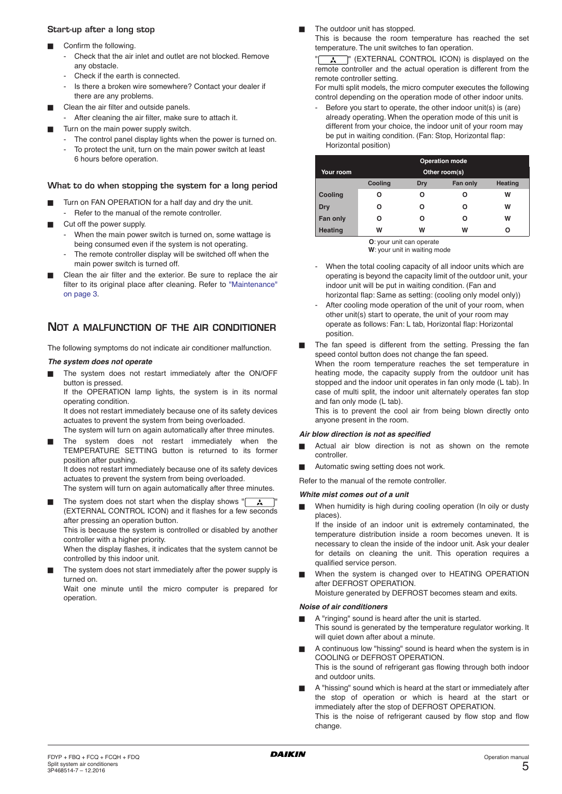#### **Start-up after a long stop**

- Confirm the following.
	- Check that the air inlet and outlet are not blocked. Remove any obstacle.
	- Check if the earth is connected.
	- Is there a broken wire somewhere? Contact your dealer if there are any problems.
- Clean the air filter and outside panels.
	- After cleaning the air filter, make sure to attach it.
- Turn on the main power supply switch.
	- The control panel display lights when the power is turned on.
	- To protect the unit, turn on the main power switch at least 6 hours before operation.

#### **What to do when stopping the system for a long period**

- Turn on FAN OPERATION for a half day and dry the unit. - Refer to the manual of the remote controller.
- Cut off the power supply.
	- When the main power switch is turned on, some wattage is being consumed even if the system is not operating.
	- The remote controller display will be switched off when the main power switch is turned off.
- Clean the air filter and the exterior. Be sure to replace the air filter to its original place after cleaning. Refer to ["Maintenance"](#page-4-2) [on page 3.](#page-4-2)

# <span id="page-6-0"></span>**NOT A MALFUNCTION OF THE AIR CONDITIONER**

The following symptoms do not indicate air conditioner malfunction.

#### *The system does not operate*

The system does not restart immediately after the ON/OFF button is pressed.

If the OPERATION lamp lights, the system is in its normal operating condition.

It does not restart immediately because one of its safety devices actuates to prevent the system from being overloaded.

The system will turn on again automatically after three minutes.

The system does not restart immediately when the TEMPERATURE SETTING button is returned to its former position after pushing.

It does not restart immediately because one of its safety devices actuates to prevent the system from being overloaded.

The system will turn on again automatically after three minutes.

The system does not start when the display shows " $\lceil$ (EXTERNAL CONTROL ICON) and it flashes for a few seconds after pressing an operation button.

This is because the system is controlled or disabled by another controller with a higher priority.

When the display flashes, it indicates that the system cannot be controlled by this indoor unit.

The system does not start immediately after the power supply is turned on.

Wait one minute until the micro computer is prepared for operation.

The outdoor unit has stopped.

This is because the room temperature has reached the set temperature. The unit switches to fan operation.

 $\frac{1}{\sqrt{2}}$  (EXTERNAL CONTROL ICON) is displayed on the remote controller and the actual operation is different from the remote controller setting.

For multi split models, the micro computer executes the following control depending on the operation mode of other indoor units.

Before you start to operate, the other indoor unit(s) is (are) already operating. When the operation mode of this unit is different from your choice, the indoor unit of your room may be put in waiting condition. (Fan: Stop, Horizontal flap: Horizontal position)

|                | <b>Operation mode</b> |     |          |                |  |  |  |  |  |  |  |
|----------------|-----------------------|-----|----------|----------------|--|--|--|--|--|--|--|
| Your room      | Other room(s)         |     |          |                |  |  |  |  |  |  |  |
|                | <b>Cooling</b>        | Dry | Fan only | <b>Heating</b> |  |  |  |  |  |  |  |
| Cooling        | О                     |     | O        | w              |  |  |  |  |  |  |  |
| Dry            | О                     |     | О        | W              |  |  |  |  |  |  |  |
| Fan only       | Ω                     |     | Ω        | W              |  |  |  |  |  |  |  |
| <b>Heating</b> | W                     | W   | w        |                |  |  |  |  |  |  |  |

**O**: your unit can operate **W**: your unit in waiting mode

- When the total cooling capacity of all indoor units which are operating is beyond the capacity limit of the outdoor unit, your indoor unit will be put in waiting condition. (Fan and horizontal flap: Same as setting: (cooling only model only))
- After cooling mode operation of the unit of your room, when other unit(s) start to operate, the unit of your room may operate as follows: Fan: L tab, Horizontal flap: Horizontal position.
- The fan speed is different from the setting. Pressing the fan speed contol button does not change the fan speed. When the room temperature reaches the set temperature in
	- heating mode, the capacity supply from the outdoor unit has stopped and the indoor unit operates in fan only mode (L tab). In case of multi split, the indoor unit alternately operates fan stop and fan only mode (L tab).

This is to prevent the cool air from being blown directly onto anyone present in the room.

#### *Air blow direction is not as specified*

- Actual air blow direction is not as shown on the remote controller.
- Automatic swing setting does not work.

Refer to the manual of the remote controller.

#### *White mist comes out of a unit*

When humidity is high during cooling operation (In oily or dusty places).

If the inside of an indoor unit is extremely contaminated, the temperature distribution inside a room becomes uneven. It is necessary to clean the inside of the indoor unit. Ask your dealer for details on cleaning the unit. This operation requires a qualified service person.

When the system is changed over to HEATING OPERATION after DEFROST OPERATION. Moisture generated by DEFROST becomes steam and exits.

#### *Noise of air conditioners*

- A "ringing" sound is heard after the unit is started.
- This sound is generated by the temperature regulator working. It will quiet down after about a minute.
- A continuous low "hissing" sound is heard when the system is in COOLING or DEFROST OPERATION. This is the sound of refrigerant gas flowing through both indoor and outdoor units.
- A "hissing" sound which is heard at the start or immediately after the stop of operation or which is heard at the start or immediately after the stop of DEFROST OPERATION. This is the noise of refrigerant caused by flow stop and flow change.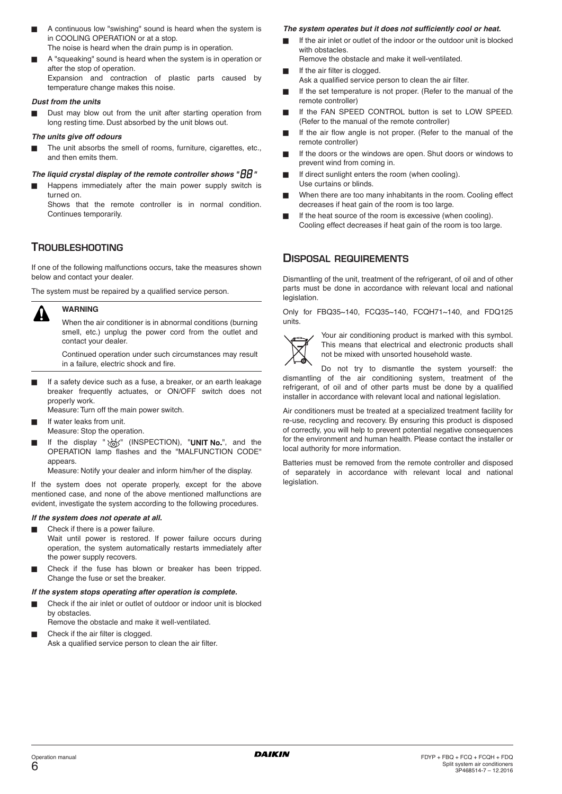- A continuous low "swishing" sound is heard when the system is in COOLING OPERATION or at a stop. The noise is heard when the drain pump is in operation.
- A "squeaking" sound is heard when the system is in operation or after the stop of operation. Expansion and contraction of plastic parts caused by temperature change makes this noise.

#### *Dust from the units*

Dust may blow out from the unit after starting operation from long resting time. Dust absorbed by the unit blows out.

#### *The units give off odours*

The unit absorbs the smell of rooms, furniture, cigarettes, etc., and then emits them.

# The liquid crystal display of the remote controller shows " $\beta\beta$ "

- Happens immediately after the main power supply switch is turned on.
	- Shows that the remote controller is in normal condition. Continues temporarily.

# <span id="page-7-1"></span>**TROUBLESHOOTING**

If one of the following malfunctions occurs, take the measures shown below and contact your dealer.

The system must be repaired by a qualified service person.

#### **WARNING**

When the air conditioner is in abnormal conditions (burning smell, etc.) unplug the power cord from the outlet and contact your dealer.

Continued operation under such circumstances may result in a failure, electric shock and fire.

If a safety device such as a fuse, a breaker, or an earth leakage breaker frequently actuates, or ON/OFF switch does not properly work.

Measure: Turn off the main power switch.

- If water leaks from unit.
- Measure: Stop the operation.
- If the display " $\frac{1}{100}$ " (INSPECTION), "UNIT No.", and the OPERATION lamp flashes and the "MALFUNCTION CODE" appears.

Measure: Notify your dealer and inform him/her of the display.

If the system does not operate properly, except for the above mentioned case, and none of the above mentioned malfunctions are evident, investigate the system according to the following procedures.

#### *If the system does not operate at all.*

- Check if there is a power failure.
- Wait until power is restored. If power failure occurs during operation, the system automatically restarts immediately after the power supply recovers.
- Check if the fuse has blown or breaker has been tripped. Change the fuse or set the breaker.

#### *If the system stops operating after operation is complete.*

- Check if the air inlet or outlet of outdoor or indoor unit is blocked by obstacles.
	- Remove the obstacle and make it well-ventilated.
- Check if the air filter is clogged. Ask a qualified service person to clean the air filter.

#### *The system operates but it does not sufficiently cool or heat.*

- If the air inlet or outlet of the indoor or the outdoor unit is blocked with obstacles.
	- Remove the obstacle and make it well-ventilated.
- If the air filter is clogged. Ask a qualified service person to clean the air filter.
- If the set temperature is not proper. (Refer to the manual of the remote controller)
- If the FAN SPEED CONTROL button is set to LOW SPEED. (Refer to the manual of the remote controller)
- If the air flow angle is not proper. (Refer to the manual of the remote controller)
- If the doors or the windows are open. Shut doors or windows to prevent wind from coming in.
- If direct sunlight enters the room (when cooling). Use curtains or blinds.
- When there are too many inhabitants in the room. Cooling effect decreases if heat gain of the room is too large.
- If the heat source of the room is excessive (when cooling). Cooling effect decreases if heat gain of the room is too large.

# <span id="page-7-0"></span>**DISPOSAL REQUIREMENTS**

Dismantling of the unit, treatment of the refrigerant, of oil and of other parts must be done in accordance with relevant local and national legislation.

Only for FBQ35~140, FCQ35~140, FCQH71~140, and FDQ125 units.



Your air conditioning product is marked with this symbol. This means that electrical and electronic products shall not be mixed with unsorted household waste.

Do not try to dismantle the system yourself: the dismantling of the air conditioning system, treatment of the refrigerant, of oil and of other parts must be done by a qualified installer in accordance with relevant local and national legislation.

Air conditioners must be treated at a specialized treatment facility for re-use, recycling and recovery. By ensuring this product is disposed of correctly, you will help to prevent potential negative consequences for the environment and human health. Please contact the installer or local authority for more information.

Batteries must be removed from the remote controller and disposed of separately in accordance with relevant local and national legislation.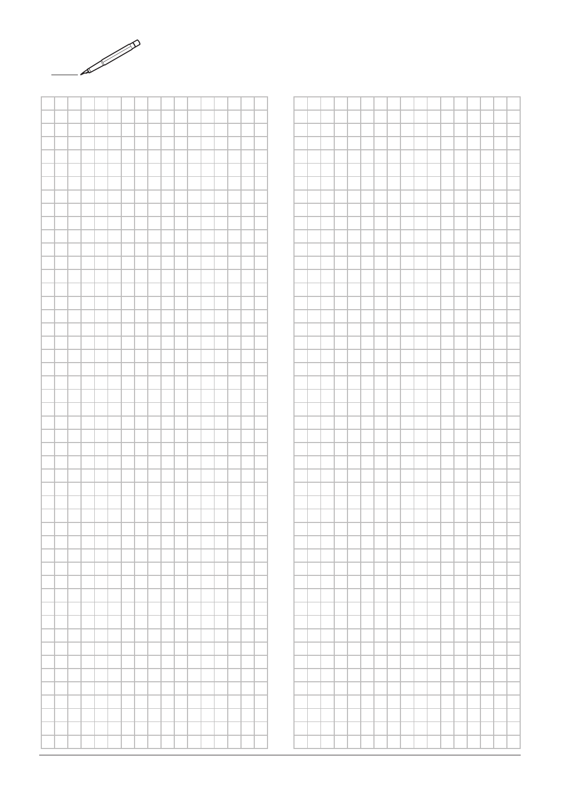

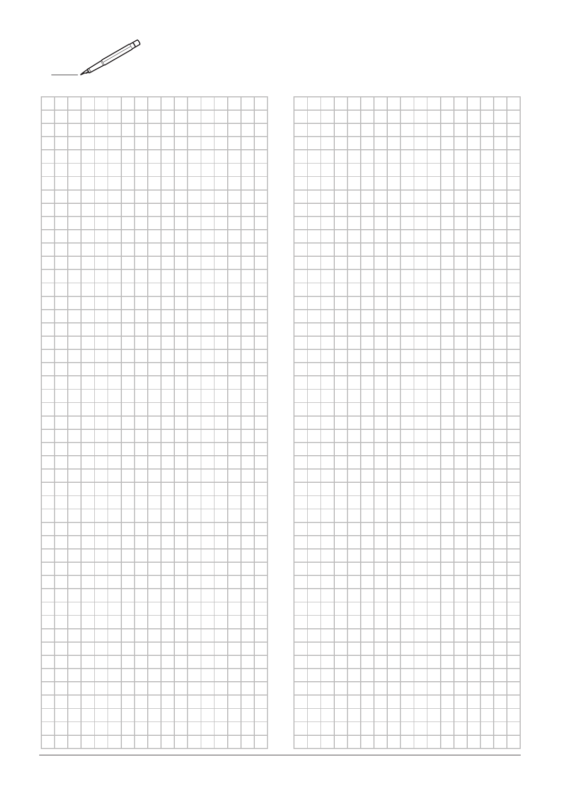

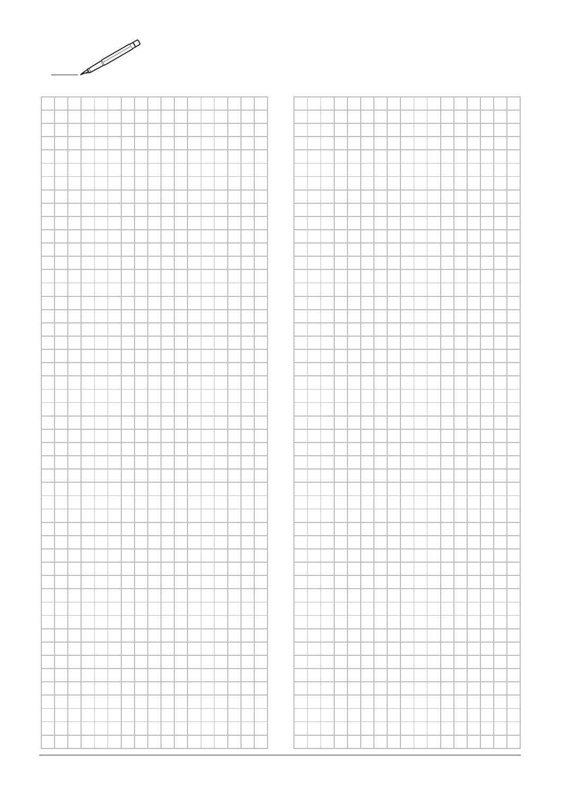